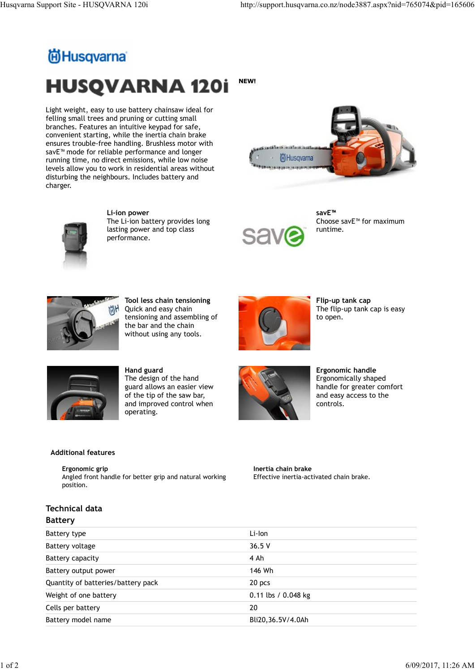# Husqvarna Support Site - HUSQVARNA 120i http://support.husqvarna.co.nz/node3887.aspx?nid=765074&pid=165606<br>http://support.husqvarna.co.nz/node3887.aspx?nid=765074&pid=165606<br>http://support.husqvarna.co.nz/node3887.aspx?nid NEW! **HUSQVARNA 120i**

Light weight, easy to use battery chainsaw ideal for felling small trees and pruning or cutting small branches. Features an intuitive keypad for safe, convenient starting, while the inertia chain brake ensures trouble-free handling. Brushless motor with savE™ mode for reliable performance and longer<br>running time, no direct emissions, while low noise (iii)Husqvama running time, no direct emissions, while low noise levels allow you to work in residential areas without disturbing the neighbours. Includes battery and charger.





Li-ion power The Li-ion battery provides long lasting power and top class performance.



savE™ and the same state of the state of the state of the state of the state of the state of the state of the state of the state of the state of the state of the state of the state of the state of the state of the state o Choose savE™ for maximum runtime.



Tool less chain tensioning Quick and easy chain tensioning and assembling of the bar and the chain without using any tools.



Flip-up tank cap The flip-up tank cap is easy to open.



Hand guard The design of the hand guard allows an easier view of the tip of the saw bar, and improved control when operating.



Ergonomic handle Ergonomically shaped handle for greater comfort and easy access to the controls.

### Additional features

## Technical data

### Battery

|                                                                                        | the bar and the chain<br>without using any tools.                                                                                            |                                                                 |                                                                                                               |  |
|----------------------------------------------------------------------------------------|----------------------------------------------------------------------------------------------------------------------------------------------|-----------------------------------------------------------------|---------------------------------------------------------------------------------------------------------------|--|
|                                                                                        | Hand guard<br>The design of the hand<br>guard allows an easier view<br>of the tip of the saw bar,<br>and improved control when<br>operating. |                                                                 | Ergonomic handle<br>Ergonomically shaped<br>handle for greater comfort<br>and easy access to the<br>controls. |  |
| <b>Additional features</b>                                                             |                                                                                                                                              |                                                                 |                                                                                                               |  |
| Ergonomic grip<br>Angled front handle for better grip and natural working<br>position. |                                                                                                                                              | Inertia chain brake<br>Effective inertia-activated chain brake. |                                                                                                               |  |
| <b>Technical data</b><br><b>Battery</b>                                                |                                                                                                                                              |                                                                 |                                                                                                               |  |
| Battery type                                                                           |                                                                                                                                              | Li-Ion                                                          |                                                                                                               |  |
| Battery voltage                                                                        |                                                                                                                                              | 36.5 V                                                          |                                                                                                               |  |
| <b>Battery capacity</b>                                                                |                                                                                                                                              | 4 Ah                                                            |                                                                                                               |  |
| Battery output power                                                                   |                                                                                                                                              | 146 Wh                                                          |                                                                                                               |  |
| Quantity of batteries/battery pack                                                     |                                                                                                                                              | 20 pcs                                                          |                                                                                                               |  |
| Weight of one battery                                                                  |                                                                                                                                              | 0.11 lbs / 0.048 kg                                             |                                                                                                               |  |
| Cells per battery                                                                      |                                                                                                                                              | 20                                                              |                                                                                                               |  |
| Battery model name                                                                     |                                                                                                                                              | Bli20,36.5V/4.0Ah                                               |                                                                                                               |  |